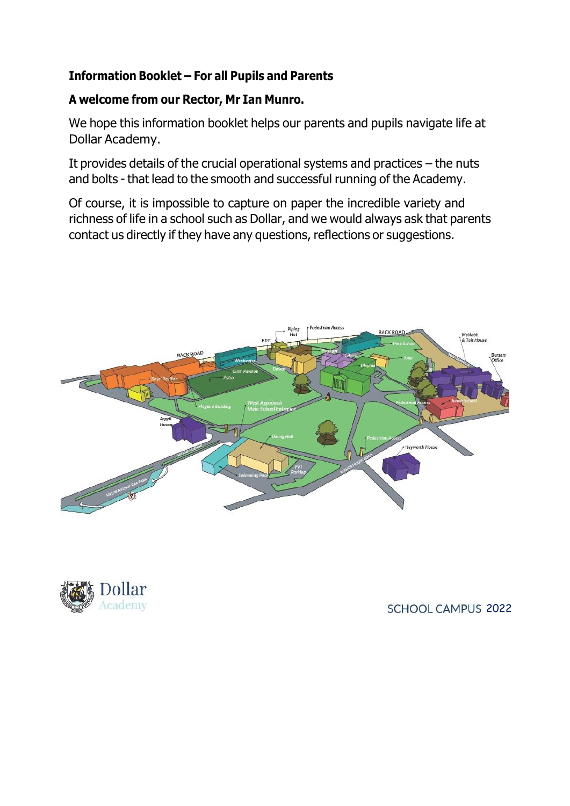## **Information Booklet – For all Pupils and Parents**

### **A welcome from our Rector, Mr Ian Munro.**

We hope this information booklet helps our parents and pupils navigate life at Dollar Academy.

It provides details of the crucial operational systems and practices – the nuts and bolts - that lead to the smooth and successful running of the Academy.

Of course, it is impossible to capture on paper the incredible variety and richness of life in a school such as Dollar, and we would always ask that parents contact us directly if they have any questions, reflections or suggestions.





#### SCHOOL CAMPUS 2022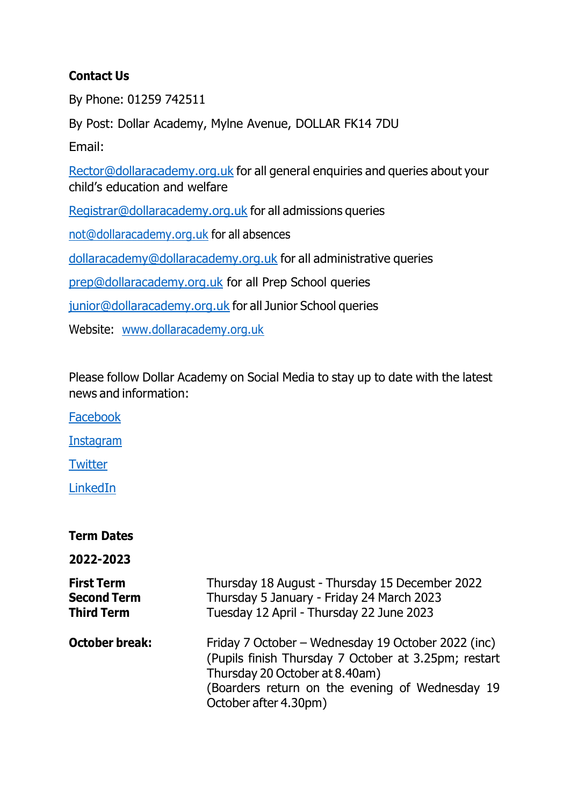## **Contact Us**

By Phone: 01259 742511

By Post: Dollar Academy, Mylne Avenue, DOLLAR FK14 7DU

Email:

[Rector@dollaracademy.org.uk](mailto:Rector@dollaracademy.org.uk) for all general enquiries and queries about your child's education and welfare

[Registrar@dollaracademy.org.uk](mailto:Registrar@dollaracademy.org.uk) for all admissions queries

[not@dollaracademy.org.uk](mailto:not@dollaracademy.org.uk) for all absences

[dollaracademy@dollaracademy.org.uk](mailto:dollaracademy@dollaracademy.org.uk) for all administrative queries

[prep@dollaracademy.org.uk](mailto:prep@dollaracademy.org.uk) for all Prep School queries

[junior@dollaracademy.org.uk](mailto:junior@dollaracademy.org.uk) for all Junior School queries

Website: [www.dollaracademy.org.uk](http://www.dollaracademy.org.uk/)

Please follow Dollar Academy on Social Media to stay up to date with the latest news and information:

[Facebook](https://www.facebook.com/dollaracademy/?msclkid=7f6e24ddd10e11eca8999f7046870f5e) **[Instagram](https://www.instagram.com/dollaracademy_official/?msclkid=adf2d4ded10e11ec8fe61c75640b04b5)** 

**[Twitter](https://twitter.com/Dollar_Academy)** 

[LinkedIn](https://www.linkedin.com/school/dollar-academy/)

| <b>Term Dates</b>                                            |                                                                                                                                         |
|--------------------------------------------------------------|-----------------------------------------------------------------------------------------------------------------------------------------|
| 2022-2023                                                    |                                                                                                                                         |
| <b>First Term</b><br><b>Second Term</b><br><b>Third Term</b> | Thursday 18 August - Thursday 15 December 2022<br>Thursday 5 January - Friday 24 March 2023<br>Tuesday 12 April - Thursday 22 June 2023 |

| Friday 7 October – Wednesday 19 October 2022 (inc)   |
|------------------------------------------------------|
| (Pupils finish Thursday 7 October at 3.25pm; restart |
| Thursday 20 October at 8.40am)                       |
| (Boarders return on the evening of Wednesday 19)     |
| October after 4.30pm)                                |
|                                                      |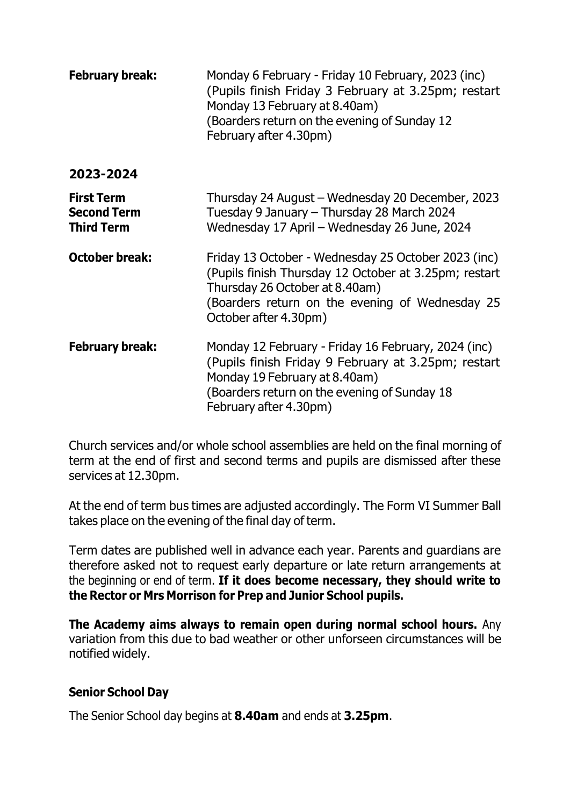| <b>February break:</b>                                       | Monday 6 February - Friday 10 February, 2023 (inc)<br>(Pupils finish Friday 3 February at 3.25pm; restart<br>Monday 13 February at 8.40am)<br>(Boarders return on the evening of Sunday 12<br>February after 4.30pm)       |
|--------------------------------------------------------------|----------------------------------------------------------------------------------------------------------------------------------------------------------------------------------------------------------------------------|
| 2023-2024                                                    |                                                                                                                                                                                                                            |
| <b>First Term</b><br><b>Second Term</b><br><b>Third Term</b> | Thursday 24 August – Wednesday 20 December, 2023<br>Tuesday 9 January - Thursday 28 March 2024<br>Wednesday 17 April - Wednesday 26 June, 2024                                                                             |
| <b>October break:</b>                                        | Friday 13 October - Wednesday 25 October 2023 (inc)<br>(Pupils finish Thursday 12 October at 3.25pm; restart<br>Thursday 26 October at 8.40am)<br>(Boarders return on the evening of Wednesday 25<br>October after 4.30pm) |
| <b>February break:</b>                                       | Monday 12 February - Friday 16 February, 2024 (inc)<br>(Pupils finish Friday 9 February at 3.25pm; restart<br>Monday 19 February at 8.40am)<br>(Boarders return on the evening of Sunday 18<br>February after 4.30pm)      |

Church services and/or whole school assemblies are held on the final morning of term at the end of first and second terms and pupils are dismissed after these services at 12.30pm.

At the end of term bus times are adjusted accordingly. The Form VI Summer Ball takes place on the evening of the final day of term.

Term dates are published well in advance each year. Parents and guardians are therefore asked not to request early departure or late return arrangements at the beginning or end of term. **If it does become necessary, they should write to the Rector or Mrs Morrison for Prep and Junior School pupils.**

**The Academy aims always to remain open during normal school hours.** Any variation from this due to bad weather or other unforseen circumstances will be notified widely.

## **Senior School Day**

The Senior School day begins at **8.40am** and ends at **3.25pm**.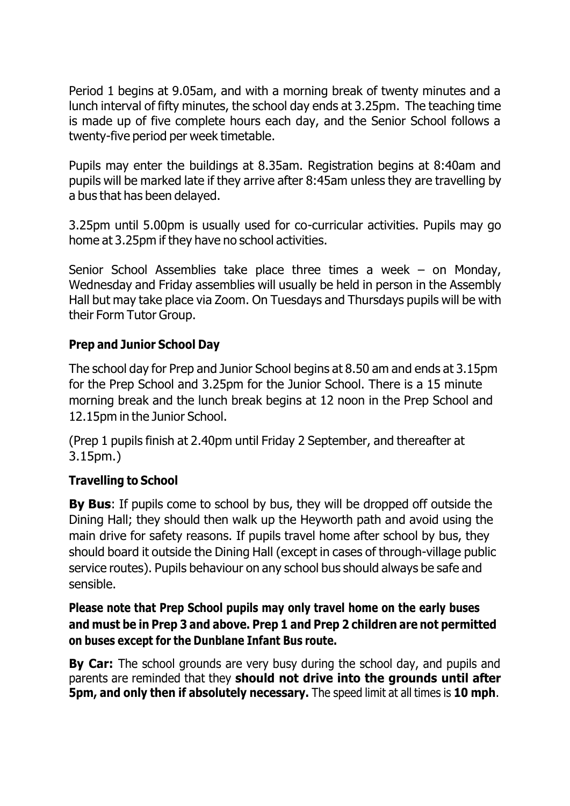Period 1 begins at 9.05am, and with a morning break of twenty minutes and a lunch interval of fifty minutes, the school day ends at 3.25pm. The teaching time is made up of five complete hours each day, and the Senior School follows a twenty-five period per week timetable.

Pupils may enter the buildings at 8.35am. Registration begins at 8:40am and pupils will be marked late if they arrive after 8:45am unless they are travelling by a bus that has been delayed.

3.25pm until 5.00pm is usually used for co-curricular activities. Pupils may go home at 3.25pm if they have no school activities.

Senior School Assemblies take place three times a week – on Monday, Wednesday and Friday assemblies will usually be held in person in the Assembly Hall but may take place via Zoom. On Tuesdays and Thursdays pupils will be with their Form Tutor Group.

### **Prep and Junior School Day**

The school day for Prep and Junior School begins at 8.50 am and ends at 3.15pm for the Prep School and 3.25pm for the Junior School. There is a 15 minute morning break and the lunch break begins at 12 noon in the Prep School and 12.15pm in the Junior School.

(Prep 1 pupils finish at 2.40pm until Friday 2 September, and thereafter at 3.15pm.)

#### **Travelling to School**

**By Bus**: If pupils come to school by bus, they will be dropped off outside the Dining Hall; they should then walk up the Heyworth path and avoid using the main drive for safety reasons. If pupils travel home after school by bus, they should board it outside the Dining Hall (except in cases of through-village public service routes). Pupils behaviour on any school bus should always be safe and sensible.

## **Please note that Prep School pupils may only travel home on the early buses and must be in Prep 3 and above. Prep 1 and Prep 2 children are not permitted on buses except for the Dunblane Infant Bus route.**

**By Car:** The school grounds are very busy during the school day, and pupils and parents are reminded that they **should not drive into the grounds until after 5pm, and only then if absolutely necessary.** The speed limit at all times is **10 mph**.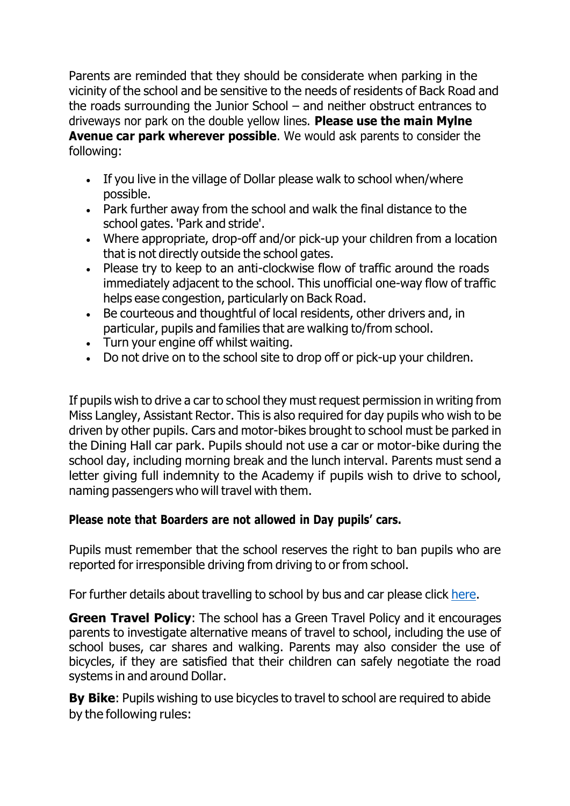Parents are reminded that they should be considerate when parking in the vicinity of the school and be sensitive to the needs of residents of Back Road and the roads surrounding the Junior School – and neither obstruct entrances to driveways nor park on the double yellow lines. **Please use the main Mylne Avenue car park wherever possible**. We would ask parents to consider the following:

- If you live in the village of Dollar please walk to school when/where possible.
- Park further away from the school and walk the final distance to the school gates. 'Park and stride'.
- Where appropriate, drop-off and/or pick-up your children from a location that is not directly outside the school gates.
- Please try to keep to an anti-clockwise flow of traffic around the roads immediately adjacent to the school. This unofficial one-way flow of traffic helps ease congestion, particularly on Back Road.
- Be courteous and thoughtful of local residents, other drivers and, in particular, pupils and families that are walking to/from school.
- Turn your engine off whilst waiting.
- Do not drive on to the school site to drop off or pick-up your children.

If pupils wish to drive a car to school they must request permission in writing from Miss Langley, Assistant Rector. This is also required for day pupils who wish to be driven by other pupils. Cars and motor-bikes brought to school must be parked in the Dining Hall car park. Pupils should not use a car or motor-bike during the school day, including morning break and the lunch interval. Parents must send a letter giving full indemnity to the Academy if pupils wish to drive to school, naming passengers who will travel with them.

## **Please note that Boarders are not allowed in Day pupils' cars.**

Pupils must remember that the school reserves the right to ban pupils who are reported for irresponsible driving from driving to or from school.

For further details about travelling to school by bus and car please click [here.](https://www.dollaracademy.org.uk/admissions/travelling-to-dollar-academy/)

**Green Travel Policy**: The school has a Green Travel Policy and it encourages parents to investigate alternative means of travel to school, including the use of school buses, car shares and walking. Parents may also consider the use of bicycles, if they are satisfied that their children can safely negotiate the road systems in and around Dollar.

**By Bike**: Pupils wishing to use bicycles to travel to school are required to abide by the following rules: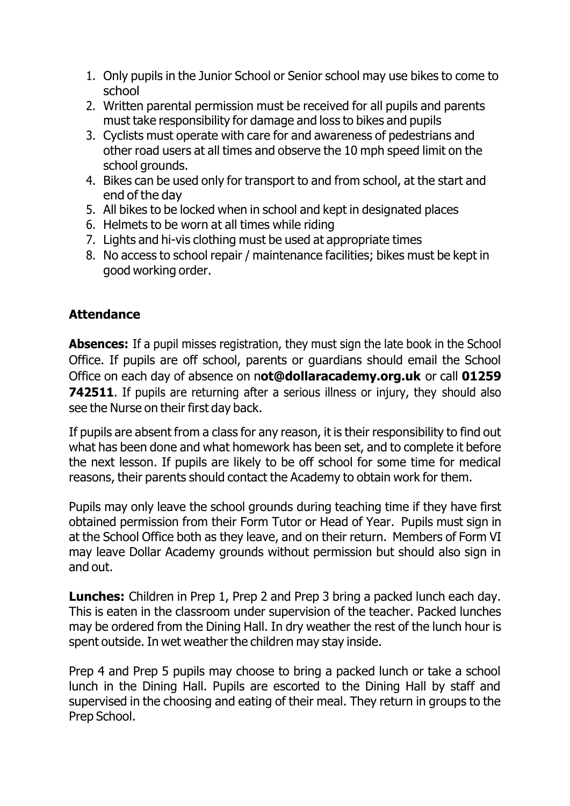- 1. Only pupils in the Junior School or Senior school may use bikes to come to school
- 2. Written parental permission must be received for all pupils and parents must take responsibility for damage and loss to bikes and pupils
- 3. Cyclists must operate with care for and awareness of pedestrians and other road users at all times and observe the 10 mph speed limit on the school grounds.
- 4. Bikes can be used only for transport to and from school, at the start and end of the day
- 5. All bikes to be locked when in school and kept in designated places
- 6. Helmets to be worn at all times while riding
- 7. Lights and hi-vis clothing must be used at appropriate times
- 8. No access to school repair / maintenance facilities; bikes must be kept in good working order.

# **Attendance**

**Absences:** If a pupil misses registration, they must sign the late book in the School Office. If pupils are off school, parents or guardians should email the School Office on each day of absence on n**[ot@dollaracademy.org.uk](mailto:not@dollaracademy.org.uk)** or call **01259 742511.** If pupils are returning after a serious illness or injury, they should also see the Nurse on their first day back.

If pupils are absent from a class for any reason, it is their responsibility to find out what has been done and what homework has been set, and to complete it before the next lesson. If pupils are likely to be off school for some time for medical reasons, their parents should contact the Academy to obtain work for them.

Pupils may only leave the school grounds during teaching time if they have first obtained permission from their Form Tutor or Head of Year. Pupils must sign in at the School Office both as they leave, and on their return. Members of Form VI may leave Dollar Academy grounds without permission but should also sign in and out.

**Lunches:** Children in Prep 1, Prep 2 and Prep 3 bring a packed lunch each day. This is eaten in the classroom under supervision of the teacher. Packed lunches may be ordered from the Dining Hall. In dry weather the rest of the lunch hour is spent outside. In wet weather the children may stay inside.

Prep 4 and Prep 5 pupils may choose to bring a packed lunch or take a school lunch in the Dining Hall. Pupils are escorted to the Dining Hall by staff and supervised in the choosing and eating of their meal. They return in groups to the Prep School.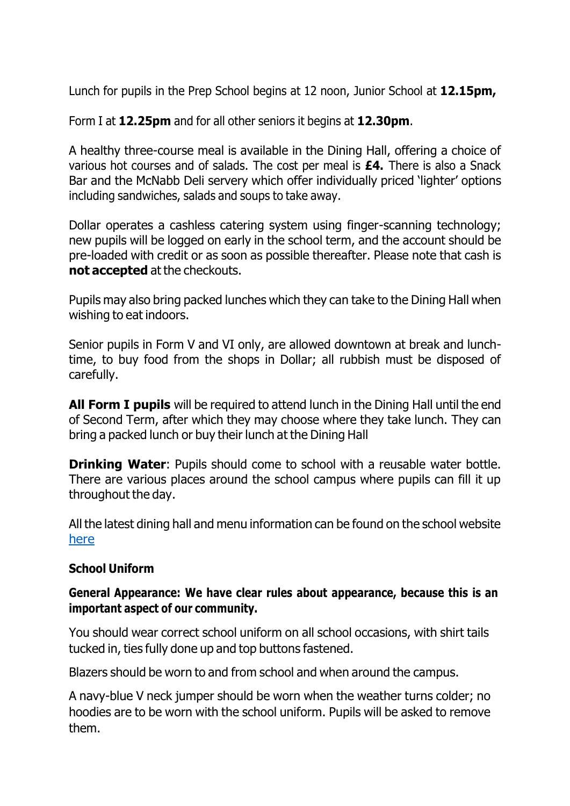Lunch for pupils in the Prep School begins at 12 noon, Junior School at **12.15pm,**

Form I at **12.25pm** and for all other seniors it begins at **12.30pm**.

A healthy three-course meal is available in the Dining Hall, offering a choice of various hot courses and of salads. The cost per meal is **£4.** There is also a Snack Bar and the McNabb Deli servery which offer individually priced 'lighter' options including sandwiches, salads and soups to take away.

Dollar operates a cashless catering system using finger-scanning technology; new pupils will be logged on early in the school term, and the account should be pre-loaded with credit or as soon as possible thereafter. Please note that cash is **not accepted** at the checkouts.

Pupils may also bring packed lunches which they can take to the Dining Hall when wishing to eat indoors.

Senior pupils in Form V and VI only, are allowed downtown at break and lunchtime, to buy food from the shops in Dollar; all rubbish must be disposed of carefully.

**All Form I pupils** will be required to attend lunch in the Dining Hall until the end of Second Term, after which they may choose where they take lunch. They can bring a packed lunch or buy their lunch at the Dining Hall

**Drinking Water:** Pupils should come to school with a reusable water bottle. There are various places around the school campus where pupils can fill it up throughout the day.

All the latest dining hall and menu information can be found on the school website [here](https://www.dollaracademy.org.uk/dining-hall/)

#### **School Uniform**

#### **General Appearance: We have clear rules about appearance, because this is an important aspect of our community.**

You should wear correct school uniform on all school occasions, with shirt tails tucked in, ties fully done up and top buttons fastened.

Blazers should be worn to and from school and when around the campus.

A navy-blue V neck jumper should be worn when the weather turns colder; no hoodies are to be worn with the school uniform. Pupils will be asked to remove them.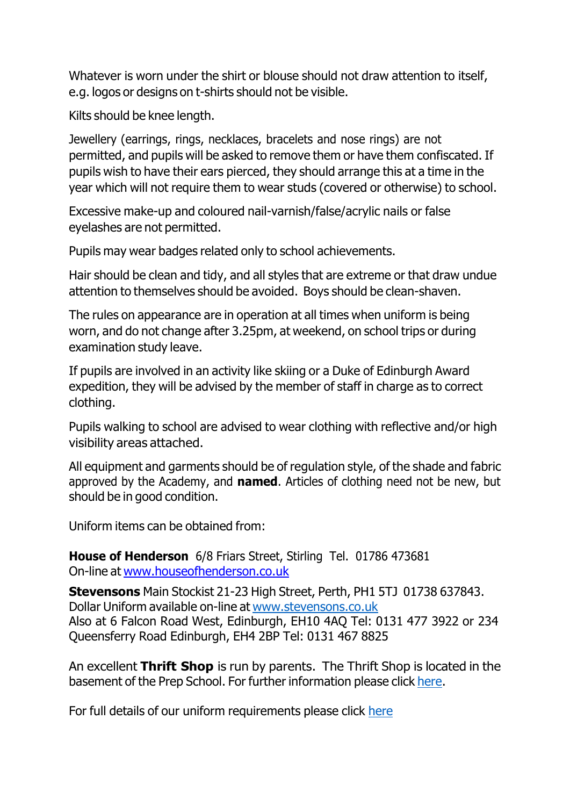Whatever is worn under the shirt or blouse should not draw attention to itself, e.g. logos or designs on t-shirts should not be visible.

Kilts should be knee length.

Jewellery (earrings, rings, necklaces, bracelets and nose rings) are not permitted, and pupils will be asked to remove them or have them confiscated. If pupils wish to have their ears pierced, they should arrange this at a time in the year which will not require them to wear studs (covered or otherwise) to school.

Excessive make-up and coloured nail-varnish/false/acrylic nails or false eyelashes are not permitted.

Pupils may wear badges related only to school achievements.

Hair should be clean and tidy, and all styles that are extreme or that draw undue attention to themselves should be avoided. Boys should be clean-shaven.

The rules on appearance are in operation at all times when uniform is being worn, and do not change after 3.25pm, at weekend, on school trips or during examination study leave.

If pupils are involved in an activity like skiing or a Duke of Edinburgh Award expedition, they will be advised by the member of staff in charge as to correct clothing.

Pupils walking to school are advised to wear clothing with reflective and/or high visibility areas attached.

All equipment and garments should be of regulation style, of the shade and fabric approved by the Academy, and **named**. Articles of clothing need not be new, but should be in good condition.

Uniform items can be obtained from:

**House of Henderson** 6/8 Friars Street, Stirling Tel. 01786 473681 On-line at [www.houseofhenderson.co.uk](http://www.houseofhenderson.co.uk/)

**Stevensons** Main Stockist 21-23 High Street, Perth, PH1 5TJ 01738 637843. Dollar Uniform available on-line at [www.stevensons.co.uk](http://www.stevensons.co.uk/) Also at 6 Falcon Road West, Edinburgh, EH10 4AQ Tel: 0131 477 3922 or 234 Queensferry Road Edinburgh, EH4 2BP Tel: 0131 467 8825

An excellent **Thrift Shop** is run by parents. The Thrift Shop is located in the basement of the Prep School. For further information please click [here.](https://www.dollaracademy.org.uk/dollar-academy-thrift-shop/)

For full details of our uniform requirements please click [here](https://www.dollaracademy.org.uk/dollar-academy-uniform/)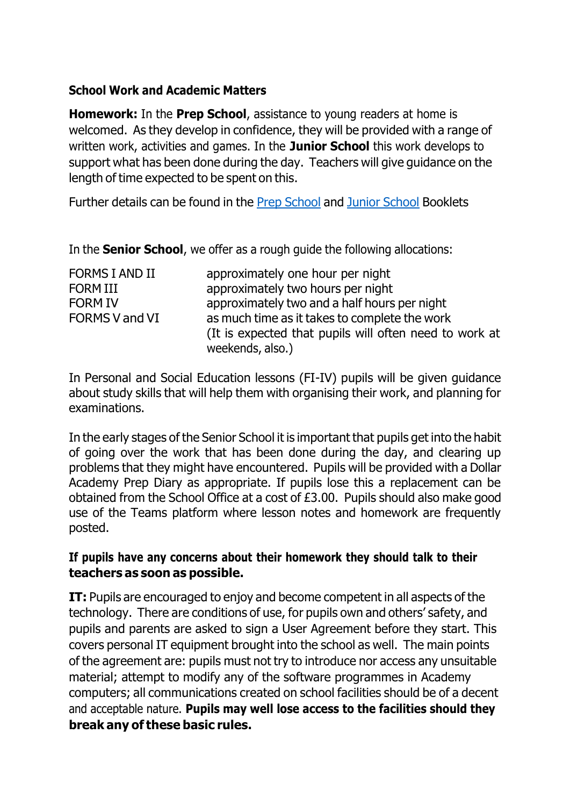### **School Work and Academic Matters**

**Homework:** In the **Prep School**, assistance to young readers at home is welcomed. As they develop in confidence, they will be provided with a range of written work, activities and games. In the **Junior School** this work develops to support what has been done during the day. Teachers will give guidance on the length of time expected to be spent on this.

Further details can be found in the Prep [School](https://www.dollaracademy.org.uk/wp-content/uploads/2022/06/Prep-Info-Booklet-2022-2023-FINAL.pdf) and Junior [School](https://www.dollaracademy.org.uk/wp-content/uploads/2022/06/Junior-School-Information-booklet-2022-23-FINAL.pdf) Booklets

In the **Senior School**, we offer as a rough guide the following allocations:

| <b>FORMS I AND II</b> | approximately one hour per night                       |
|-----------------------|--------------------------------------------------------|
| <b>FORM III</b>       | approximately two hours per night                      |
| <b>FORM IV</b>        | approximately two and a half hours per night           |
| <b>FORMS V and VI</b> | as much time as it takes to complete the work          |
|                       | (It is expected that pupils will often need to work at |
|                       | weekends, also.)                                       |

In Personal and Social Education lessons (FI-IV) pupils will be given guidance about study skills that will help them with organising their work, and planning for examinations.

In the early stages of the Senior School it is important that pupils get into the habit of going over the work that has been done during the day, and clearing up problems that they might have encountered. Pupils will be provided with a Dollar Academy Prep Diary as appropriate. If pupils lose this a replacement can be obtained from the School Office at a cost of £3.00. Pupils should also make good use of the Teams platform where lesson notes and homework are frequently posted.

### **If pupils have any concerns about their homework they should talk to their teachers as soon as possible.**

**IT:** Pupils are encouraged to enjoy and become competent in all aspects of the technology. There are conditions of use, for pupils own and others' safety, and pupils and parents are asked to sign a User Agreement before they start. This covers personal IT equipment brought into the school as well. The main points of the agreement are: pupils must not try to introduce nor access any unsuitable material; attempt to modify any of the software programmes in Academy computers; all communications created on school facilities should be of a decent and acceptable nature. **Pupils may well lose access to the facilities should they break any of these basic rules.**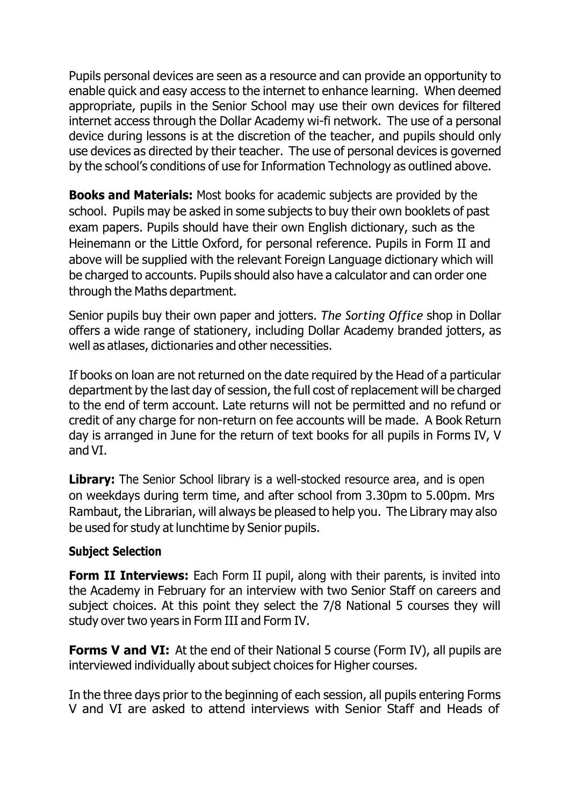Pupils personal devices are seen as a resource and can provide an opportunity to enable quick and easy access to the internet to enhance learning. When deemed appropriate, pupils in the Senior School may use their own devices for filtered internet access through the Dollar Academy wi-fi network. The use of a personal device during lessons is at the discretion of the teacher, and pupils should only use devices as directed by their teacher. The use of personal devices is governed by the school's conditions of use for Information Technology as outlined above.

**Books and Materials:** Most books for academic subjects are provided by the school. Pupils may be asked in some subjects to buy their own booklets of past exam papers. Pupils should have their own English dictionary, such as the Heinemann or the Little Oxford, for personal reference. Pupils in Form II and above will be supplied with the relevant Foreign Language dictionary which will be charged to accounts. Pupils should also have a calculator and can order one through the Maths department.

Senior pupils buy their own paper and jotters. *The Sorting Office* shop in Dollar offers a wide range of stationery, including Dollar Academy branded jotters, as well as atlases, dictionaries and other necessities.

If books on loan are not returned on the date required by the Head of a particular department by the last day of session, the full cost of replacement will be charged to the end of term account. Late returns will not be permitted and no refund or credit of any charge for non-return on fee accounts will be made. A Book Return day is arranged in June for the return of text books for all pupils in Forms IV, V and VI.

**Library:** The Senior School library is a well-stocked resource area, and is open on weekdays during term time, and after school from 3.30pm to 5.00pm. Mrs Rambaut, the Librarian, will always be pleased to help you. The Library may also be used for study at lunchtime by Senior pupils.

#### **Subject Selection**

**Form II Interviews:** Each Form II pupil, along with their parents, is invited into the Academy in February for an interview with two Senior Staff on careers and subject choices. At this point they select the 7/8 National 5 courses they will study over two years in Form III and Form IV.

**Forms V and VI:** At the end of their National 5 course (Form IV), all pupils are interviewed individually about subject choices for Higher courses.

In the three days prior to the beginning of each session, all pupils entering Forms V and VI are asked to attend interviews with Senior Staff and Heads of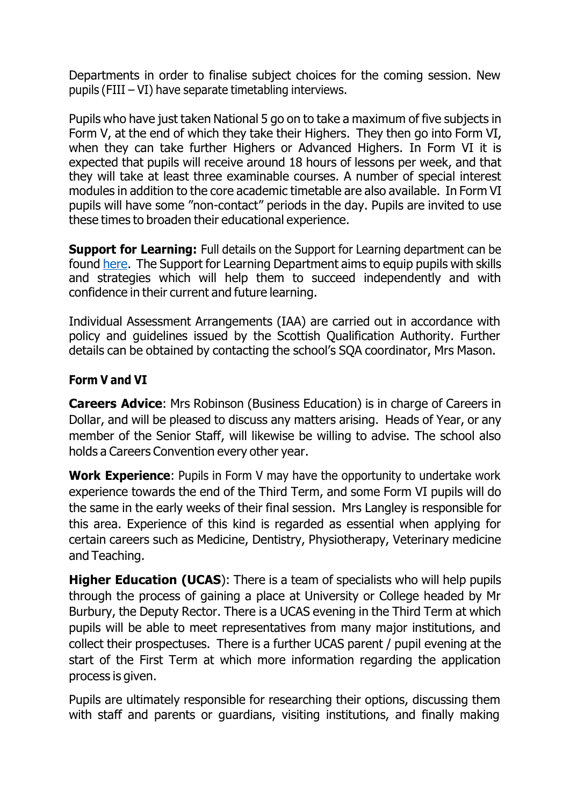Departments in order to finalise subject choices for the coming session. New pupils (FIII – VI) have separate timetabling interviews.

Pupils who have just taken National 5 go on to take a maximum of five subjects in Form V, at the end of which they take their Highers. They then go into Form VI, when they can take further Highers or Advanced Highers. In Form VI it is expected that pupils will receive around 18 hours of lessons per week, and that they will take at least three examinable courses. A number of special interest modules in addition to the core academic timetable are also available. In Form VI pupils will have some "non-contact" periods in the day. Pupils are invited to use these times to broaden their educational experience.

**Support for Learning:** Full details on the Support for Learning department can be found [here.](https://www.dollaracademy.org.uk/academic/support-forlearning/) The Support for Learning Department aims to equip pupils with skills and strategies which will help them to succeed independently and with confidence in their current and future learning.

Individual Assessment Arrangements (IAA) are carried out in accordance with policy and guidelines issued by the Scottish Qualification Authority. Further details can be obtained by contacting the school's SQA coordinator, Mrs Mason.

#### **Form V and VI**

**Careers Advice**: Mrs Robinson (Business Education) is in charge of Careers in Dollar, and will be pleased to discuss any matters arising. Heads of Year, or any member of the Senior Staff, will likewise be willing to advise. The school also holds a Careers Convention every other year.

**Work Experience**: Pupils in Form V may have the opportunity to undertake work experience towards the end of the Third Term, and some Form VI pupils will do the same in the early weeks of their final session. Mrs Langley is responsible for this area. Experience of this kind is regarded as essential when applying for certain careers such as Medicine, Dentistry, Physiotherapy, Veterinary medicine and Teaching.

**Higher Education (UCAS**): There is a team of specialists who will help pupils through the process of gaining a place at University or College headed by Mr Burbury, the Deputy Rector. There is a UCAS evening in the Third Term at which pupils will be able to meet representatives from many major institutions, and collect their prospectuses. There is a further UCAS parent / pupil evening at the start of the First Term at which more information regarding the application process is given.

Pupils are ultimately responsible for researching their options, discussing them with staff and parents or guardians, visiting institutions, and finally making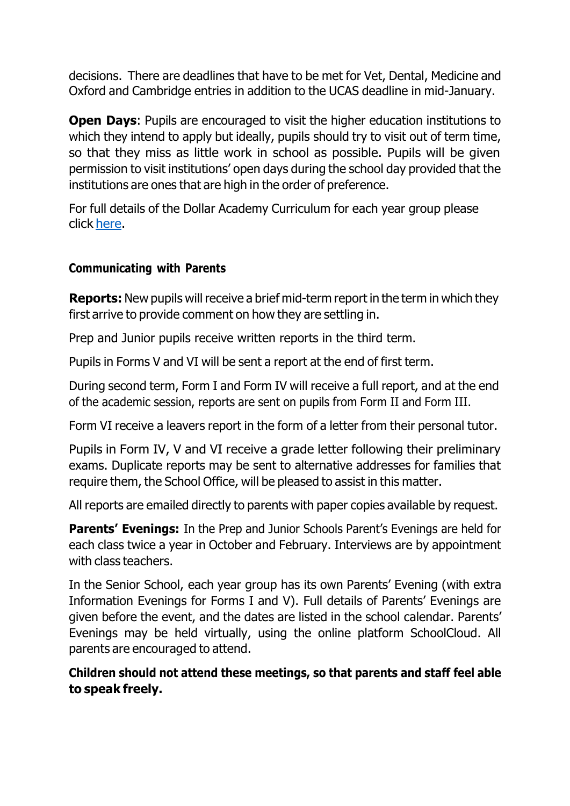decisions. There are deadlines that have to be met for Vet, Dental, Medicine and Oxford and Cambridge entries in addition to the UCAS deadline in mid-January.

**Open Days:** Pupils are encouraged to visit the higher education institutions to which they intend to apply but ideally, pupils should try to visit out of term time, so that they miss as little work in school as possible. Pupils will be given permission to visit institutions' open days during the school day provided that the institutions are ones that are high in the order of preference.

For full details of the Dollar Academy Curriculum for each year group please click [here.](https://www.dollaracademy.org.uk/wp-content/uploads/2022/06/Dollar-Academy-Curriculum-280222.pdf)

### **Communicating with Parents**

**Reports:** New pupils will receive a brief mid-term report in the term in which they first arrive to provide comment on how they are settling in.

Prep and Junior pupils receive written reports in the third term.

Pupils in Forms V and VI will be sent a report at the end of first term.

During second term, Form I and Form IV will receive a full report, and at the end of the academic session, reports are sent on pupils from Form II and Form III.

Form VI receive a leavers report in the form of a letter from their personal tutor.

Pupils in Form IV, V and VI receive a grade letter following their preliminary exams. Duplicate reports may be sent to alternative addresses for families that require them, the School Office, will be pleased to assist in this matter.

All reports are emailed directly to parents with paper copies available by request.

**Parents' Evenings:** In the Prep and Junior Schools Parent's Evenings are held for each class twice a year in October and February. Interviews are by appointment with class teachers.

In the Senior School, each year group has its own Parents' Evening (with extra Information Evenings for Forms I and V). Full details of Parents' Evenings are given before the event, and the dates are listed in the school calendar. Parents' Evenings may be held virtually, using the online platform SchoolCloud. All parents are encouraged to attend.

**Children should not attend these meetings, so that parents and staff feel able to speak freely.**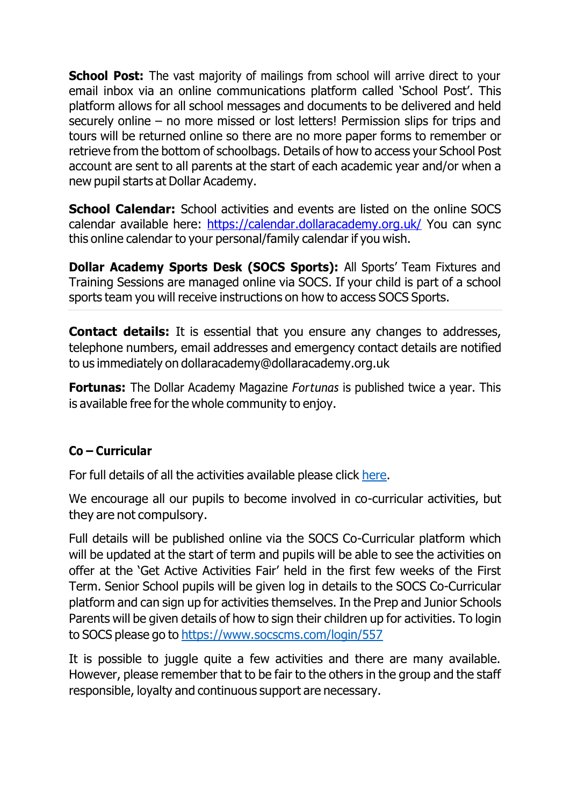**School Post:** The vast majority of mailings from school will arrive direct to your email inbox via an online communications platform called 'School Post'. This platform allows for all school messages and documents to be delivered and held securely online – no more missed or lost letters! Permission slips for trips and tours will be returned online so there are no more paper forms to remember or retrieve from the bottom of schoolbags. Details of how to access your School Post account are sent to all parents at the start of each academic year and/or when a new pupil starts at Dollar Academy.

**School Calendar:** School activities and events are listed on the online SOCS calendar available here:<https://calendar.dollaracademy.org.uk/> You can sync this online calendar to your personal/family calendar if you wish.

**Dollar Academy Sports Desk (SOCS Sports):** All Sports' Team Fixtures and Training Sessions are managed online via SOCS. If your child is part of a school sports team you will receive instructions on how to access SOCS Sports.

**Contact details:** It is essential that you ensure any changes to addresses, telephone numbers, email addresses and emergency contact details are notified to us immediately on [dollaracademy@dollaracademy.org.uk](mailto:dollaracademy@dollaracademy.org.uk)

**Fortunas:** The Dollar Academy Magazine *Fortunas* is published twice a year. This is available free for the whole community to enjoy.

## **Co – Curricular**

For full details of all the activities available please click [here.](https://www.dollaracademy.org.uk/co-curricular/)

We encourage all our pupils to become involved in co-curricular activities, but they are not compulsory.

Full details will be published online via the SOCS Co-Curricular platform which will be updated at the start of term and pupils will be able to see the activities on offer at the 'Get Active Activities Fair' held in the first few weeks of the First Term. Senior School pupils will be given log in details to the SOCS Co-Curricular platform and can sign up for activities themselves. In the Prep and Junior Schools Parents will be given details of how to sign their children up for activities. To login to SOCS please go to <https://www.socscms.com/login/557>

It is possible to juggle quite a few activities and there are many available. However, please remember that to be fair to the others in the group and the staff responsible, loyalty and continuous support are necessary.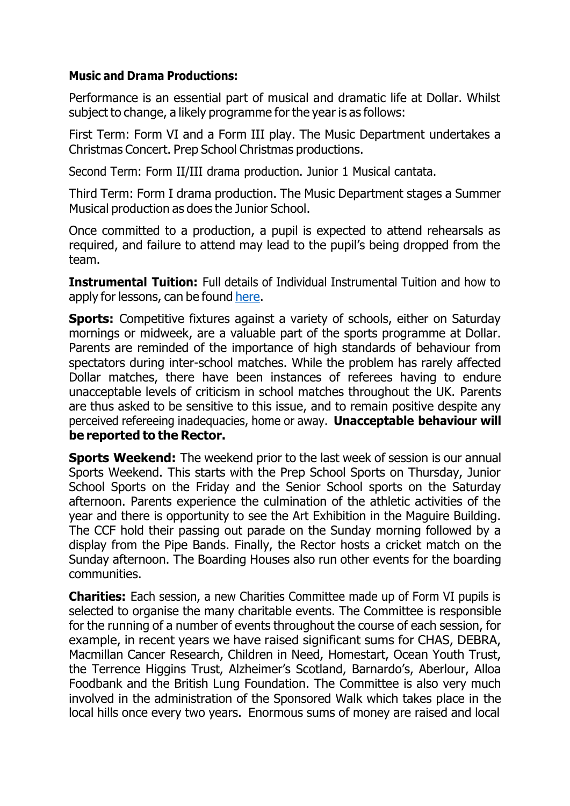#### **Music and Drama Productions:**

Performance is an essential part of musical and dramatic life at Dollar. Whilst subject to change, a likely programme for the year is as follows:

First Term: Form VI and a Form III play. The Music Department undertakes a Christmas Concert. Prep School Christmas productions.

Second Term: Form II/III drama production. Junior 1 Musical cantata.

Third Term: Form I drama production. The Music Department stages a Summer Musical production as does the Junior School.

Once committed to a production, a pupil is expected to attend rehearsals as required, and failure to attend may lead to the pupil's being dropped from the team.

**Instrumental Tuition:** Full details of Individual Instrumental Tuition and how to apply for lessons, can be found [here.](https://www.dollaracademy.org.uk/wp-content/uploads/2022/06/Instrumental-Music-Tuition-Application-Form-2022-23.pdf)

**Sports:** Competitive fixtures against a variety of schools, either on Saturday mornings or midweek, are a valuable part of the sports programme at Dollar. Parents are reminded of the importance of high standards of behaviour from spectators during inter-school matches. While the problem has rarely affected Dollar matches, there have been instances of referees having to endure unacceptable levels of criticism in school matches throughout the UK. Parents are thus asked to be sensitive to this issue, and to remain positive despite any perceived refereeing inadequacies, home or away. **Unacceptable behaviour will be reported to the Rector.**

**Sports Weekend:** The weekend prior to the last week of session is our annual Sports Weekend. This starts with the Prep School Sports on Thursday, Junior School Sports on the Friday and the Senior School sports on the Saturday afternoon. Parents experience the culmination of the athletic activities of the year and there is opportunity to see the Art Exhibition in the Maguire Building. The CCF hold their passing out parade on the Sunday morning followed by a display from the Pipe Bands. Finally, the Rector hosts a cricket match on the Sunday afternoon. The Boarding Houses also run other events for the boarding communities.

**Charities:** Each session, a new Charities Committee made up of Form VI pupils is selected to organise the many charitable events. The Committee is responsible for the running of a number of events throughout the course of each session, for example, in recent years we have raised significant sums for CHAS, DEBRA, Macmillan Cancer Research, Children in Need, Homestart, Ocean Youth Trust, the Terrence Higgins Trust, Alzheimer's Scotland, Barnardo's, Aberlour, Alloa Foodbank and the British Lung Foundation. The Committee is also very much involved in the administration of the Sponsored Walk which takes place in the local hills once every two years. Enormous sums of money are raised and local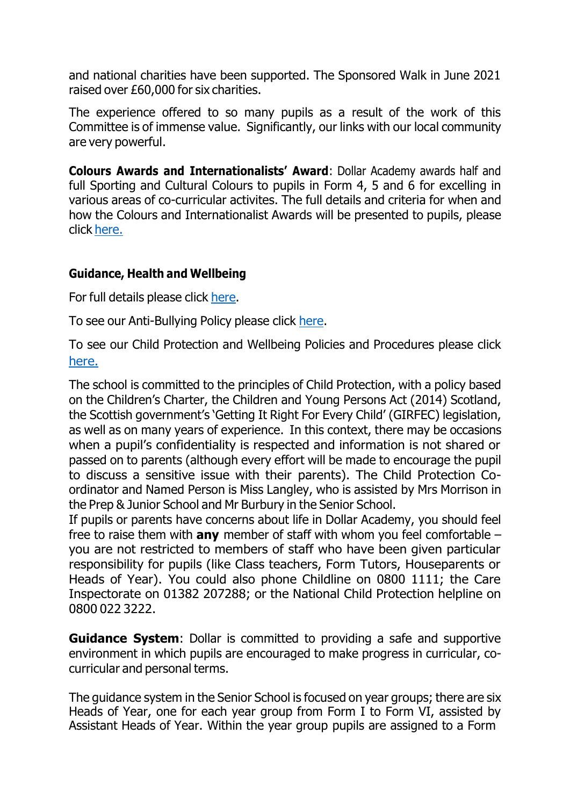and national charities have been supported. The Sponsored Walk in June 2021 raised over £60,000 for six charities.

The experience offered to so many pupils as a result of the work of this Committee is of immense value. Significantly, our links with our local community are very powerful.

**Colours Awards and Internationalists' Award**: Dollar Academy awards half and full Sporting and Cultural Colours to pupils in Form 4, 5 and 6 for excelling in various areas of co-curricular activites. The full details and criteria for when and how the Colours and Internationalist Awards will be presented to pupils, please click [here.](https://www.dollaracademy.org.uk/wp-content/uploads/2022/06/COLOURS-AWARDS-criteria-GSB.pdf)

### **Guidance, Health and Wellbeing**

For full details please click [here.](https://www.dollaracademy.org.uk/about/health-and-wellbeing/)

To see our Anti-Bullying Policy please click [here.](https://www.dollaracademy.org.uk/wp-content/uploads/2021/11/Dollar-Academy-Anti-Bullying-Policy-2021.pdf)

To see our Child Protection and Wellbeing Policies and Procedures please click [here.](https://www.dollaracademy.org.uk/wp-content/uploads/2022/06/DA-FULL-Wellbeing-and-Child-Protection-Policy-and-Procedures-2021-22.pdf)

The school is committed to the principles of Child Protection, with a policy based on the Children's Charter, the Children and Young Persons Act (2014) Scotland, the Scottish government's 'Getting It Right For Every Child' (GIRFEC) legislation, as well as on many years of experience. In this context, there may be occasions when a pupil's confidentiality is respected and information is not shared or passed on to parents (although every effort will be made to encourage the pupil to discuss a sensitive issue with their parents). The Child Protection Coordinator and Named Person is Miss Langley, who is assisted by Mrs Morrison in the Prep & Junior School and Mr Burbury in the Senior School.

If pupils or parents have concerns about life in Dollar Academy, you should feel free to raise them with **any** member of staff with whom you feel comfortable – you are not restricted to members of staff who have been given particular responsibility for pupils (like Class teachers, Form Tutors, Houseparents or Heads of Year). You could also phone Childline on 0800 1111; the Care Inspectorate on 01382 207288; or the National Child Protection helpline on 0800 022 3222.

**Guidance System**: Dollar is committed to providing a safe and supportive environment in which pupils are encouraged to make progress in curricular, cocurricular and personal terms.

The guidance system in the Senior School is focused on year groups; there are six Heads of Year, one for each year group from Form I to Form VI, assisted by Assistant Heads of Year. Within the year group pupils are assigned to a Form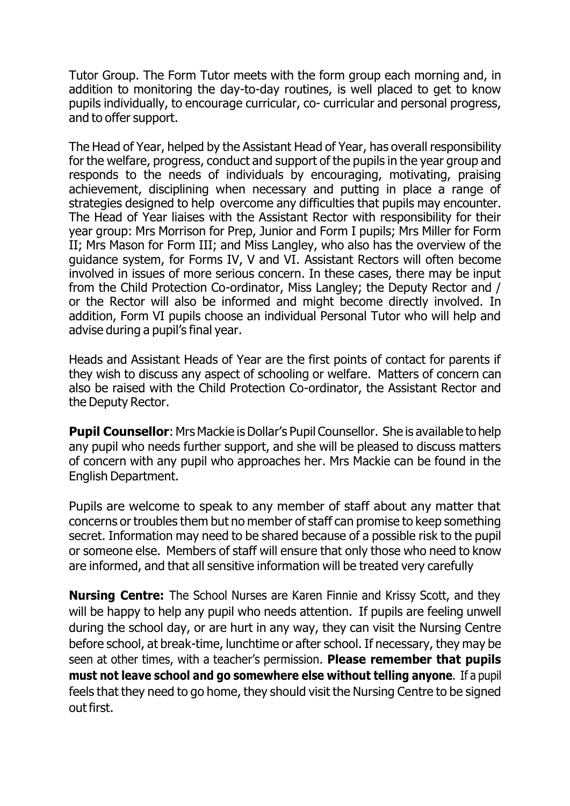Tutor Group. The Form Tutor meets with the form group each morning and, in addition to monitoring the day-to-day routines, is well placed to get to know pupils individually, to encourage curricular, co- curricular and personal progress, and to offer support.

The Head of Year, helped by the Assistant Head of Year, has overall responsibility for the welfare, progress, conduct and support of the pupils in the year group and responds to the needs of individuals by encouraging, motivating, praising achievement, disciplining when necessary and putting in place a range of strategies designed to help overcome any difficulties that pupils may encounter. The Head of Year liaises with the Assistant Rector with responsibility for their year group: Mrs Morrison for Prep, Junior and Form I pupils; Mrs Miller for Form II; Mrs Mason for Form III; and Miss Langley, who also has the overview of the guidance system, for Forms IV, V and VI. Assistant Rectors will often become involved in issues of more serious concern. In these cases, there may be input from the Child Protection Co-ordinator, Miss Langley; the Deputy Rector and / or the Rector will also be informed and might become directly involved. In addition, Form VI pupils choose an individual Personal Tutor who will help and advise during a pupil's final year.

Heads and Assistant Heads of Year are the first points of contact for parents if they wish to discuss any aspect of schooling or welfare. Matters of concern can also be raised with the Child Protection Co-ordinator, the Assistant Rector and the Deputy Rector.

**Pupil Counsellor:** Mrs Mackie is Dollar's Pupil Counsellor. She is available to help any pupil who needs further support, and she will be pleased to discuss matters of concern with any pupil who approaches her. Mrs Mackie can be found in the English Department.

Pupils are welcome to speak to any member of staff about any matter that concerns or troubles them but no member of staff can promise to keep something secret. Information may need to be shared because of a possible risk to the pupil or someone else. Members of staff will ensure that only those who need to know are informed, and that all sensitive information will be treated very carefully

**Nursing Centre:** The School Nurses are Karen Finnie and Krissy Scott, and they will be happy to help any pupil who needs attention. If pupils are feeling unwell during the school day, or are hurt in any way, they can visit the Nursing Centre before school, at break-time, lunchtime or after school. If necessary, they may be seen at other times, with a teacher's permission. **Please remember that pupils must not leave school and go somewhere else without telling anyone**. If a pupil feels that they need to go home, they should visit the Nursing Centre to be signed out first.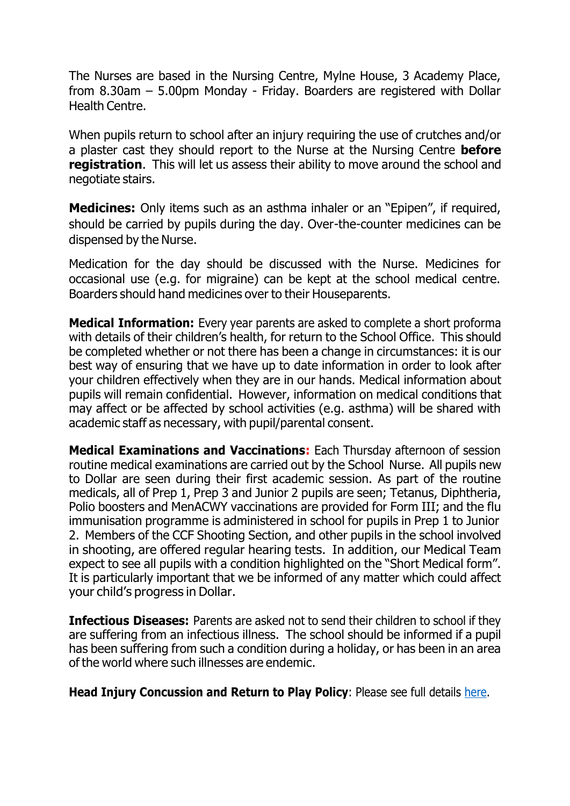The Nurses are based in the Nursing Centre, Mylne House, 3 Academy Place, from 8.30am – 5.00pm Monday - Friday. Boarders are registered with Dollar Health Centre.

When pupils return to school after an injury requiring the use of crutches and/or a plaster cast they should report to the Nurse at the Nursing Centre **before registration**. This will let us assess their ability to move around the school and negotiate stairs.

**Medicines:** Only items such as an asthma inhaler or an "Epipen", if required, should be carried by pupils during the day. Over-the-counter medicines can be dispensed by the Nurse.

Medication for the day should be discussed with the Nurse. Medicines for occasional use (e.g. for migraine) can be kept at the school medical centre. Boarders should hand medicines over to their Houseparents.

**Medical Information:** Every year parents are asked to complete a short proforma with details of their children's health, for return to the School Office. This should be completed whether or not there has been a change in circumstances: it is our best way of ensuring that we have up to date information in order to look after your children effectively when they are in our hands. Medical information about pupils will remain confidential. However, information on medical conditions that may affect or be affected by school activities (e.g. asthma) will be shared with academic staff as necessary, with pupil/parental consent.

**Medical Examinations and Vaccinations:** Each Thursday afternoon of session routine medical examinations are carried out by the School Nurse. All pupils new to Dollar are seen during their first academic session. As part of the routine medicals, all of Prep 1, Prep 3 and Junior 2 pupils are seen; Tetanus, Diphtheria, Polio boosters and MenACWY vaccinations are provided for Form III; and the flu immunisation programme is administered in school for pupils in Prep 1 to Junior 2. Members of the CCF Shooting Section, and other pupils in the school involved in shooting, are offered regular hearing tests. In addition, our Medical Team expect to see all pupils with a condition highlighted on the "Short Medical form". It is particularly important that we be informed of any matter which could affect your child's progress in Dollar.

**Infectious Diseases:** Parents are asked not to send their children to school if they are suffering from an infectious illness. The school should be informed if a pupil has been suffering from such a condition during a holiday, or has been in an area of the world where such illnesses are endemic.

**Head Injury Concussion and Return to Play Policy**: Please see full details [here.](https://www.dollaracademy.org.uk/wp-content/uploads/2018/10/Return-to-Play.pdf)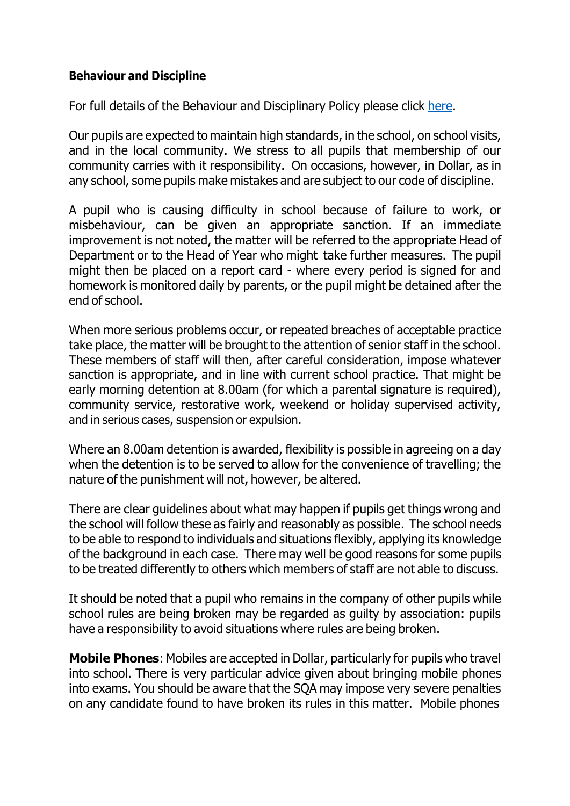## **Behaviour and Discipline**

For full details of the Behaviour and Disciplinary Policy please click [here.](https://www.dollaracademy.org.uk/wp-content/uploads/2021/09/Behaviour-and-Discplinary-Policy-1.pdf)

Our pupils are expected to maintain high standards, in the school, on school visits, and in the local community. We stress to all pupils that membership of our community carries with it responsibility. On occasions, however, in Dollar, as in any school, some pupils make mistakes and are subject to our code of discipline.

A pupil who is causing difficulty in school because of failure to work, or misbehaviour, can be given an appropriate sanction. If an immediate improvement is not noted, the matter will be referred to the appropriate Head of Department or to the Head of Year who might take further measures. The pupil might then be placed on a report card - where every period is signed for and homework is monitored daily by parents, or the pupil might be detained after the end of school.

When more serious problems occur, or repeated breaches of acceptable practice take place, the matter will be brought to the attention of senior staff in the school. These members of staff will then, after careful consideration, impose whatever sanction is appropriate, and in line with current school practice. That might be early morning detention at 8.00am (for which a parental signature is required), community service, restorative work, weekend or holiday supervised activity, and in serious cases, suspension or expulsion.

Where an 8.00am detention is awarded, flexibility is possible in agreeing on a day when the detention is to be served to allow for the convenience of travelling; the nature of the punishment will not, however, be altered.

There are clear guidelines about what may happen if pupils get things wrong and the school will follow these as fairly and reasonably as possible. The school needs to be able to respond to individuals and situations flexibly, applying its knowledge of the background in each case. There may well be good reasons for some pupils to be treated differently to others which members of staff are not able to discuss.

It should be noted that a pupil who remains in the company of other pupils while school rules are being broken may be regarded as guilty by association: pupils have a responsibility to avoid situations where rules are being broken.

**Mobile Phones**: Mobiles are accepted in Dollar, particularly for pupils who travel into school. There is very particular advice given about bringing mobile phones into exams. You should be aware that the SQA may impose very severe penalties on any candidate found to have broken its rules in this matter. Mobile phones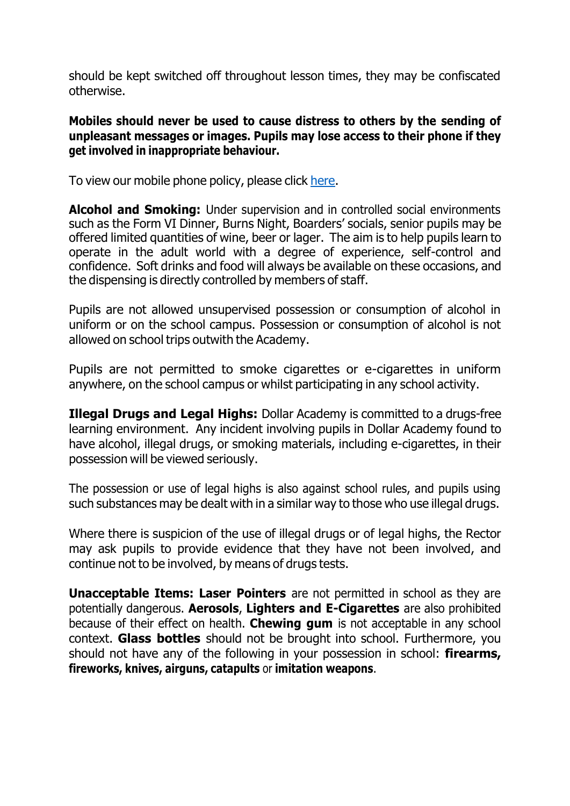should be kept switched off throughout lesson times, they may be confiscated otherwise.

### **Mobiles should never be used to cause distress to others by the sending of unpleasant messages or images. Pupils may lose access to their phone if they get involved in inappropriate behaviour.**

To view our mobile phone policy, please click [here.](https://www.dollaracademy.org.uk/wp-content/uploads/2022/06/DOLLAR-ACADEMY-MOBILE-PHONE-POLICY-April-2022.pdf)

**Alcohol and Smoking:** Under supervision and in controlled social environments such as the Form VI Dinner, Burns Night, Boarders' socials, senior pupils may be offered limited quantities of wine, beer or lager. The aim is to help pupils learn to operate in the adult world with a degree of experience, self-control and confidence. Soft drinks and food will always be available on these occasions, and the dispensing is directly controlled by members of staff.

Pupils are not allowed unsupervised possession or consumption of alcohol in uniform or on the school campus. Possession or consumption of alcohol is not allowed on school trips outwith the Academy.

Pupils are not permitted to smoke cigarettes or e-cigarettes in uniform anywhere, on the school campus or whilst participating in any school activity.

**Illegal Drugs and Legal Highs:** Dollar Academy is committed to a drugs-free learning environment. Any incident involving pupils in Dollar Academy found to have alcohol, illegal drugs, or smoking materials, including e-cigarettes, in their possession will be viewed seriously.

The possession or use of legal highs is also against school rules, and pupils using such substances may be dealt with in a similar way to those who use illegal drugs.

Where there is suspicion of the use of illegal drugs or of legal highs, the Rector may ask pupils to provide evidence that they have not been involved, and continue not to be involved, by means of drugs tests.

**Unacceptable Items: Laser Pointers** are not permitted in school as they are potentially dangerous. **Aerosols**, **Lighters and E-Cigarettes** are also prohibited because of their effect on health. **Chewing gum** is not acceptable in any school context. **Glass bottles** should not be brought into school. Furthermore, you should not have any of the following in your possession in school: **firearms, fireworks, knives, airguns, catapults** or **imitation weapons**.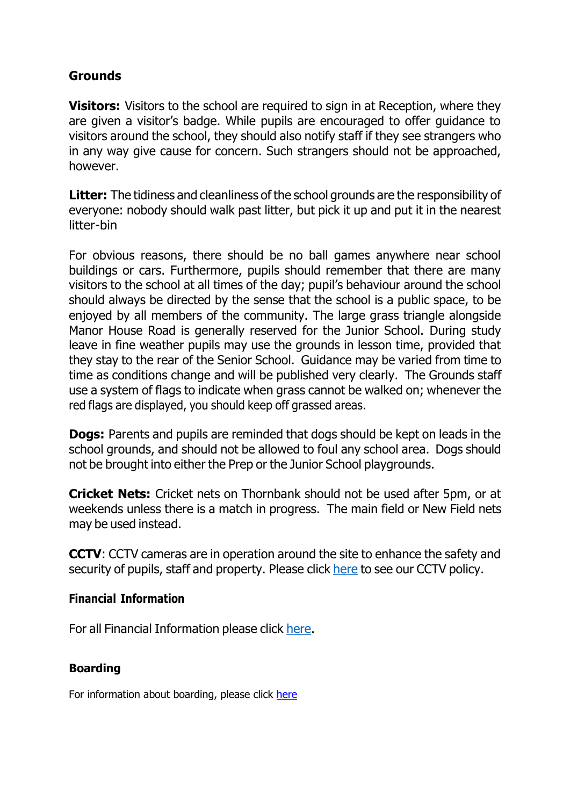# **Grounds**

**Visitors:** Visitors to the school are required to sign in at Reception, where they are given a visitor's badge. While pupils are encouraged to offer guidance to visitors around the school, they should also notify staff if they see strangers who in any way give cause for concern. Such strangers should not be approached, however.

**Litter:** The tidiness and cleanliness of the school grounds are the responsibility of everyone: nobody should walk past litter, but pick it up and put it in the nearest litter-bin

For obvious reasons, there should be no ball games anywhere near school buildings or cars. Furthermore, pupils should remember that there are many visitors to the school at all times of the day; pupil's behaviour around the school should always be directed by the sense that the school is a public space, to be enjoyed by all members of the community. The large grass triangle alongside Manor House Road is generally reserved for the Junior School. During study leave in fine weather pupils may use the grounds in lesson time, provided that they stay to the rear of the Senior School. Guidance may be varied from time to time as conditions change and will be published very clearly. The Grounds staff use a system of flags to indicate when grass cannot be walked on; whenever the red flags are displayed, you should keep off grassed areas.

**Dogs:** Parents and pupils are reminded that dogs should be kept on leads in the school grounds, and should not be allowed to foul any school area. Dogs should not be brought into either the Prep or the Junior School playgrounds.

**Cricket Nets:** Cricket nets on Thornbank should not be used after 5pm, or at weekends unless there is a match in progress. The main field or New Field nets may be used instead.

**CCTV**: CCTV cameras are in operation around the site to enhance the safety and security of pupils, staff and property. Please click [here](https://www.dollaracademy.org.uk/wp-content/uploads/2022/01/Dollar-Academy-CCTV-Policy-Jan-22.pdf) to see our CCTV policy.

#### **Financial Information**

For all Financial Information please click [here.](https://www.dollaracademy.org.uk/wp-content/uploads/2022/05/FEES-FINANCIAL-WEB-2022-2023.pdf)

#### **Boarding**

For information about boarding, please click [here](https://www.dollaracademy.org.uk/wp-content/uploads/2022/06/Information-for-Boarders-KB-draft.pdf)